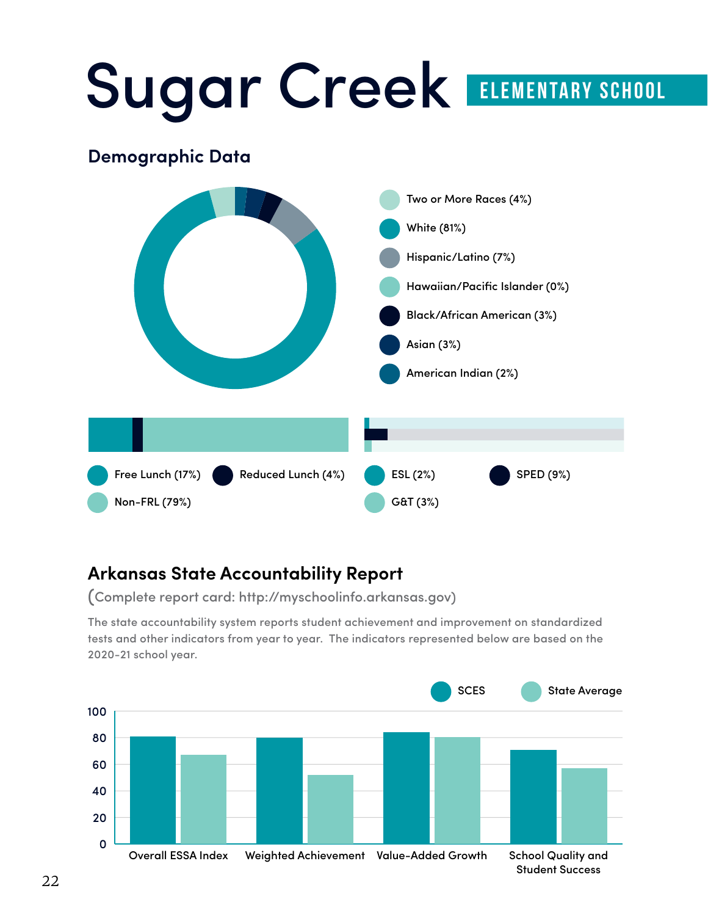# Sugar Creek ELEMENTARY SCHOOL **Demographic Data** White White (81%) Hispanic/Latino (7%) Hawaiian/Pacific Islander (0%) Black/African American (3%) Two or More Races (4%) Free Lunch (17%) Non-FRL (79%) Reduced Lunch (4%) ESL (2%) G&T (3%) SPED (9%) Asian (3%) American Indian (2%) 0.0 0.2 0.4 0.6 0.8 1.0 0.0 0.2 0.4 0.6 0.8 1.0

#### **Arkansas State Accountability Report**

(Complete report card: http://myschoolinfo.arkansas.gov)

tests and other indicators from year to year. The indicators represented below are based on the 2020-21 school year. The state accountability system reports student achievement and improvement on standardized